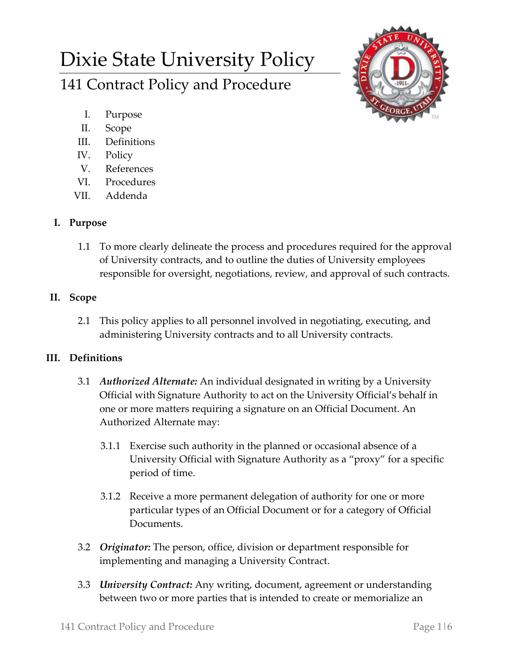# Dixie State University Policy 141 Contract Policy and Procedure



- I. Purpose
- II. Scope
- III. Definitions
- IV. Policy
- V. References
- VI. Procedures
- VII. Addenda

## **I. Purpose**

1.1 To more clearly delineate the process and procedures required for the approval of University contracts, and to outline the duties of University employees responsible for oversight, negotiations, review, and approval of such contracts.

# **II. Scope**

2.1 This policy applies to all personnel involved in negotiating, executing, and administering University contracts and to all University contracts.

## **III. Definitions**

- 3.1 *Authorized Alternate:* An individual designated in writing by a University Official with Signature Authority to act on the University Official's behalf in one or more matters requiring a signature on an Official Document. An Authorized Alternate may:
	- 3.1.1 Exercise such authority in the planned or occasional absence of a University Official with Signature Authority as a "proxy" for a specific period of time.
	- 3.1.2 Receive a more permanent delegation of authority for one or more particular types of an Official Document or for a category of Official Documents.
- 3.2 *Originator:* The person, office, division or department responsible for implementing and managing a University Contract.
- 3.3 *University Contract:* Any writing, document, agreement or understanding between two or more parties that is intended to create or memorialize an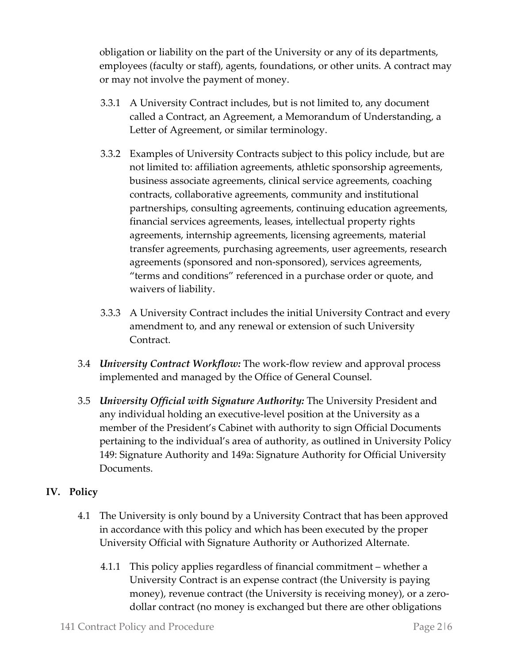obligation or liability on the part of the University or any of its departments, employees (faculty or staff), agents, foundations, or other units. A contract may or may not involve the payment of money.

- 3.3.1 A University Contract includes, but is not limited to, any document called a Contract, an Agreement, a Memorandum of Understanding, a Letter of Agreement, or similar terminology.
- 3.3.2 Examples of University Contracts subject to this policy include, but are not limited to: affiliation agreements, athletic sponsorship agreements, business associate agreements, clinical service agreements, coaching contracts, collaborative agreements, community and institutional partnerships, consulting agreements, continuing education agreements, financial services agreements, leases, intellectual property rights agreements, internship agreements, licensing agreements, material transfer agreements, purchasing agreements, user agreements, research agreements (sponsored and non-sponsored), services agreements, "terms and conditions" referenced in a purchase order or quote, and waivers of liability.
- 3.3.3 A University Contract includes the initial University Contract and every amendment to, and any renewal or extension of such University Contract.
- 3.4 *University Contract Workflow:* The work-flow review and approval process implemented and managed by the Office of General Counsel.
- 3.5 *University Official with Signature Authority:* The University President and any individual holding an executive-level position at the University as a member of the President's Cabinet with authority to sign Official Documents pertaining to the individual's area of authority, as outlined in University Policy 149: Signature Authority and 149a: Signature Authority for Official University Documents.

## **IV. Policy**

- 4.1 The University is only bound by a University Contract that has been approved in accordance with this policy and which has been executed by the proper University Official with Signature Authority or Authorized Alternate.
	- 4.1.1 This policy applies regardless of financial commitment whether a University Contract is an expense contract (the University is paying money), revenue contract (the University is receiving money), or a zerodollar contract (no money is exchanged but there are other obligations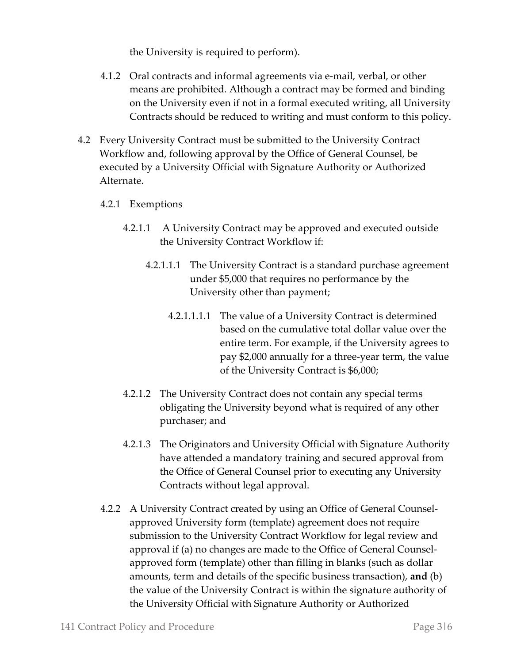the University is required to perform).

- 4.1.2 Oral contracts and informal agreements via e-mail, verbal, or other means are prohibited. Although a contract may be formed and binding on the University even if not in a formal executed writing, all University Contracts should be reduced to writing and must conform to this policy.
- 4.2 Every University Contract must be submitted to the University Contract Workflow and, following approval by the Office of General Counsel, be executed by a University Official with Signature Authority or Authorized Alternate.
	- 4.2.1 Exemptions
		- 4.2.1.1 A University Contract may be approved and executed outside the University Contract Workflow if:
			- 4.2.1.1.1 The University Contract is a standard purchase agreement under \$5,000 that requires no performance by the University other than payment;
				- 4.2.1.1.1.1 The value of a University Contract is determined based on the cumulative total dollar value over the entire term. For example, if the University agrees to pay \$2,000 annually for a three-year term, the value of the University Contract is \$6,000;
		- 4.2.1.2 The University Contract does not contain any special terms obligating the University beyond what is required of any other purchaser; and
		- 4.2.1.3 The Originators and University Official with Signature Authority have attended a mandatory training and secured approval from the Office of General Counsel prior to executing any University Contracts without legal approval.
	- 4.2.2 A University Contract created by using an Office of General Counselapproved University form (template) agreement does not require submission to the University Contract Workflow for legal review and approval if (a) no changes are made to the Office of General Counselapproved form (template) other than filling in blanks (such as dollar amounts, term and details of the specific business transaction), **and** (b) the value of the University Contract is within the signature authority of the University Official with Signature Authority or Authorized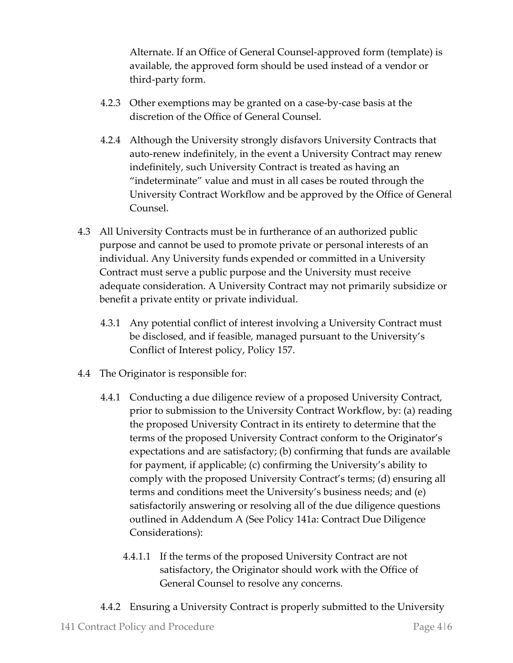Alternate. If an Office of General Counsel-approved form (template) is available, the approved form should be used instead of a vendor or third-party form.

- 4.2.3 Other exemptions may be granted on a case-by-case basis at the discretion of the Office of General Counsel.
- 4.2.4 Although the University strongly disfavors University Contracts that auto-renew indefinitely, in the event a University Contract may renew indefinitely, such University Contract is treated as having an "indeterminate" value and must in all cases be routed through the University Contract Workflow and be approved by the Office of General Counsel.
- 4.3 All University Contracts must be in furtherance of an authorized public purpose and cannot be used to promote private or personal interests of an individual. Any University funds expended or committed in a University Contract must serve a public purpose and the University must receive adequate consideration. A University Contract may not primarily subsidize or benefit a private entity or private individual.
	- 4.3.1 Any potential conflict of interest involving a University Contract must be disclosed, and if feasible, managed pursuant to the University's Conflict of Interest policy, Policy 157.
- 4.4 The Originator is responsible for:
	- 4.4.1 Conducting a due diligence review of a proposed University Contract, prior to submission to the University Contract Workflow, by: (a) reading the proposed University Contract in its entirety to determine that the terms of the proposed University Contract conform to the Originator's expectations and are satisfactory; (b) confirming that funds are available for payment, if applicable; (c) confirming the University's ability to comply with the proposed University Contract's terms; (d) ensuring all terms and conditions meet the University's business needs; and (e) satisfactorily answering or resolving all of the due diligence questions outlined in Addendum A (See Policy 141a: Contract Due Diligence Considerations):
		- 4.4.1.1 If the terms of the proposed University Contract are not satisfactory, the Originator should work with the Office of General Counsel to resolve any concerns.
	- 4.4.2 Ensuring a University Contract is properly submitted to the University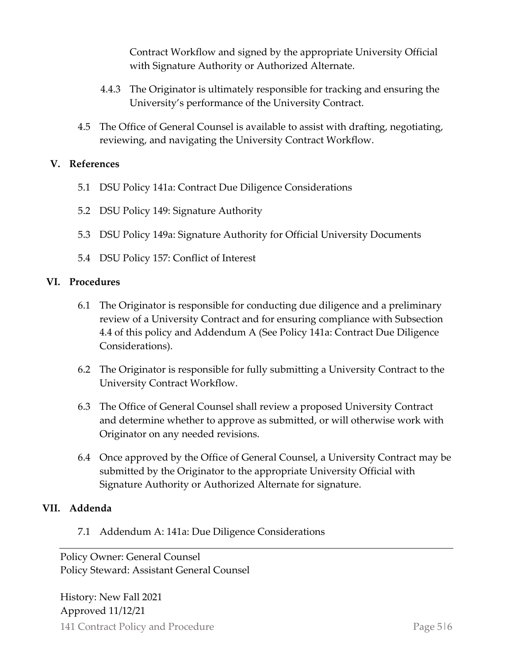Contract Workflow and signed by the appropriate University Official with Signature Authority or Authorized Alternate.

- 4.4.3 The Originator is ultimately responsible for tracking and ensuring the University's performance of the University Contract.
- 4.5 The Office of General Counsel is available to assist with drafting, negotiating, reviewing, and navigating the University Contract Workflow.

#### **V. References**

- 5.1 DSU Policy 141a: Contract Due Diligence Considerations
- 5.2 DSU Policy 149: Signature Authority
- 5.3 DSU Policy 149a: Signature Authority for Official University Documents
- 5.4 DSU Policy 157: Conflict of Interest

#### **VI. Procedures**

- 6.1 The Originator is responsible for conducting due diligence and a preliminary review of a University Contract and for ensuring compliance with Subsection 4.4 of this policy and Addendum A (See Policy 141a: Contract Due Diligence Considerations).
- 6.2 The Originator is responsible for fully submitting a University Contract to the University Contract Workflow.
- 6.3 The Office of General Counsel shall review a proposed University Contract and determine whether to approve as submitted, or will otherwise work with Originator on any needed revisions.
- 6.4 Once approved by the Office of General Counsel, a University Contract may be submitted by the Originator to the appropriate University Official with Signature Authority or Authorized Alternate for signature.

#### **VII. Addenda**

7.1 Addendum A: 141a: Due Diligence Considerations

Policy Owner: General Counsel Policy Steward: Assistant General Counsel

141 Contract Policy and Procedure **Page 516** Page 516 History: New Fall 2021 Approved 11/12/21